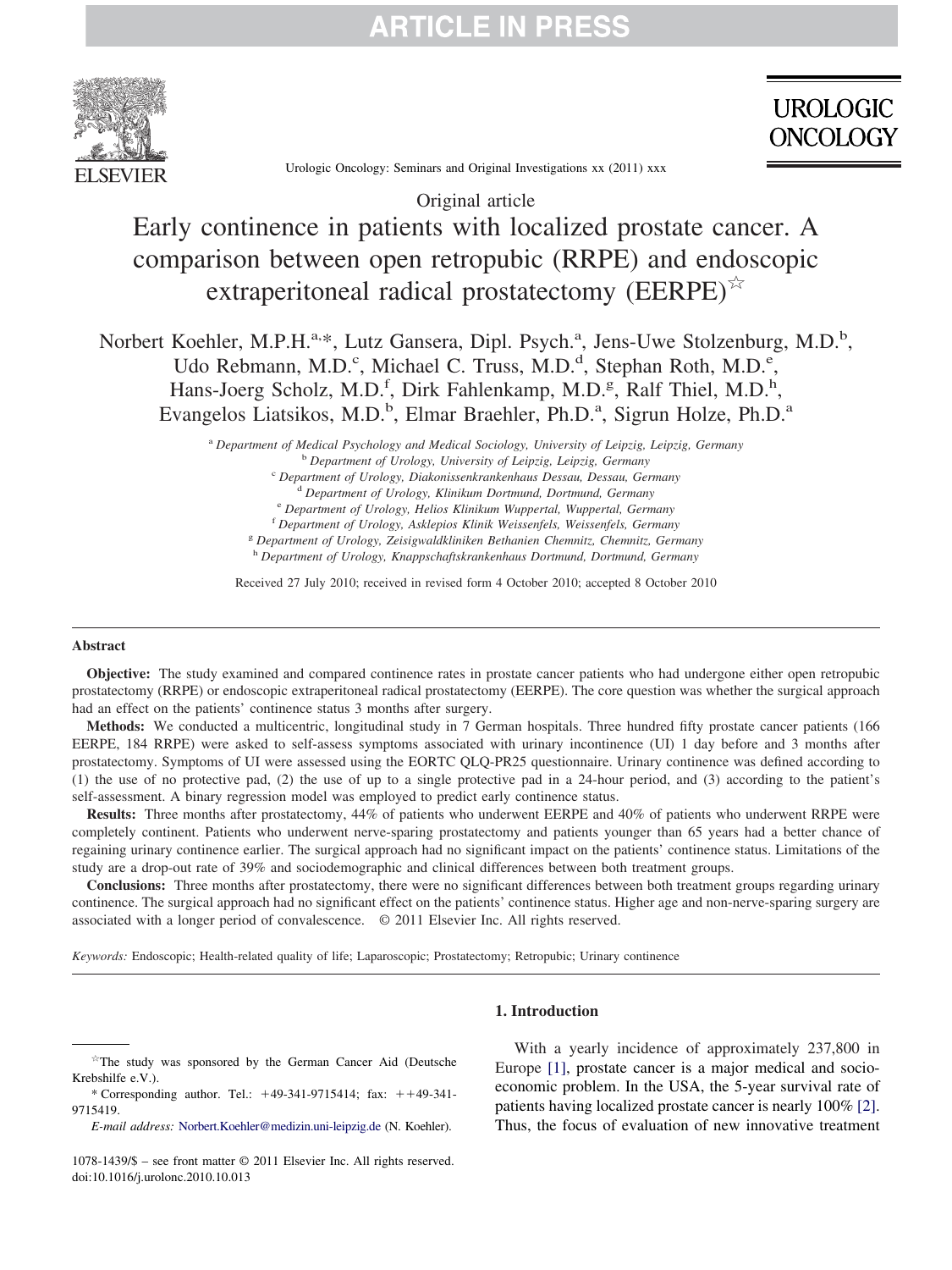

**UROLOGIC ONCOLOGY** 

Urologic Oncology: Seminars and Original Investigations xx (2011) xxx

# Original article Early continence in patients with localized prostate cancer. A comparison between open retropubic (RRPE) and endoscopic extraperitoneal radical prostatectomy (EERPE) $\mathbb{R}^2$

Norbert Koehler, M.P.H.<sup>a,\*</sup>, Lutz Gansera, Dipl. Psych.<sup>a</sup>, Jens-Uwe Stolzenburg, M.D.<sup>b</sup>, Udo Rebmann, M.D.<sup>c</sup>, Michael C. Truss, M.D.<sup>d</sup>, Stephan Roth, M.D.<sup>e</sup>, Hans-Joerg Scholz, M.D.<sup>f</sup>, Dirk Fahlenkamp, M.D.<sup>g</sup>, Ralf Thiel, M.D.<sup>h</sup>, Evangelos Liatsikos, M.D.<sup>b</sup>, Elmar Braehler, Ph.D.<sup>a</sup>, Sigrun Holze, Ph.D.<sup>a</sup>

> <sup>a</sup> *Department of Medical Psychology and Medical Sociology, University of Leipzig, Leipzig, Germany* <sup>b</sup> *Department of Urology, University of Leipzig, Leipzig, Germany* <sup>c</sup> *Department of Urology, Diakonissenkrankenhaus Dessau, Dessau, Germany* <sup>d</sup> *Department of Urology, Klinikum Dortmund, Dortmund, Germany* <sup>e</sup> *Department of Urology, Helios Klinikum Wuppertal, Wuppertal, Germany* <sup>f</sup> *Department of Urology, Asklepios Klinik Weissenfels, Weissenfels, Germany* <sup>g</sup> *Department of Urology, Zeisigwaldkliniken Bethanien Chemnitz, Chemnitz, Germany* <sup>h</sup> *Department of Urology, Knappschaftskrankenhaus Dortmund, Dortmund, Germany*

Received 27 July 2010; received in revised form 4 October 2010; accepted 8 October 2010

#### **Abstract**

**Objective:** The study examined and compared continence rates in prostate cancer patients who had undergone either open retropubic prostatectomy (RRPE) or endoscopic extraperitoneal radical prostatectomy (EERPE). The core question was whether the surgical approach had an effect on the patients' continence status 3 months after surgery.

**Methods:** We conducted a multicentric, longitudinal study in 7 German hospitals. Three hundred fifty prostate cancer patients (166 EERPE, 184 RRPE) were asked to self-assess symptoms associated with urinary incontinence (UI) 1 day before and 3 months after prostatectomy. Symptoms of UI were assessed using the EORTC QLQ-PR25 questionnaire. Urinary continence was defined according to (1) the use of no protective pad, (2) the use of up to a single protective pad in a 24-hour period, and (3) according to the patient's self-assessment. A binary regression model was employed to predict early continence status.

**Results:** Three months after prostatectomy, 44% of patients who underwent EERPE and 40% of patients who underwent RRPE were completely continent. Patients who underwent nerve-sparing prostatectomy and patients younger than 65 years had a better chance of regaining urinary continence earlier. The surgical approach had no significant impact on the patients' continence status. Limitations of the study are a drop-out rate of 39% and sociodemographic and clinical differences between both treatment groups.

**Conclusions:** Three months after prostatectomy, there were no significant differences between both treatment groups regarding urinary continence. The surgical approach had no significant effect on the patients' continence status. Higher age and non-nerve-sparing surgery are associated with a longer period of convalescence. © 2011 Elsevier Inc. All rights reserved.

*Keywords:* Endoscopic; Health-related quality of life; Laparoscopic; Prostatectomy; Retropubic; Urinary continence

### **1. Introduction**

With a yearly incidence of approximately 237,800 in Europe [\[1\],](#page-5-0) prostate cancer is a major medical and socioeconomic problem. In the USA, the 5-year survival rate of patients having localized prostate cancer is nearly 100% [\[2\].](#page-5-1) Thus, the focus of evaluation of new innovative treatment

 $\overrightarrow{r}$ The study was sponsored by the German Cancer Aid (Deutsche Krebshilfe e.V.).

<sup>\*</sup> Corresponding author. Tel.:  $+49-341-9715414$ ; fax:  $++49-341-$ 9715419.

*E-mail address:* [Norbert.Koehler@medizin.uni-leipzig.de](mailto:Norbert.Koehler@medizin.uni-leipzig.de) (N. Koehler).

<sup>1078-1439/\$ –</sup> see front matter © 2011 Elsevier Inc. All rights reserved. doi:10.1016/j.urolonc.2010.10.013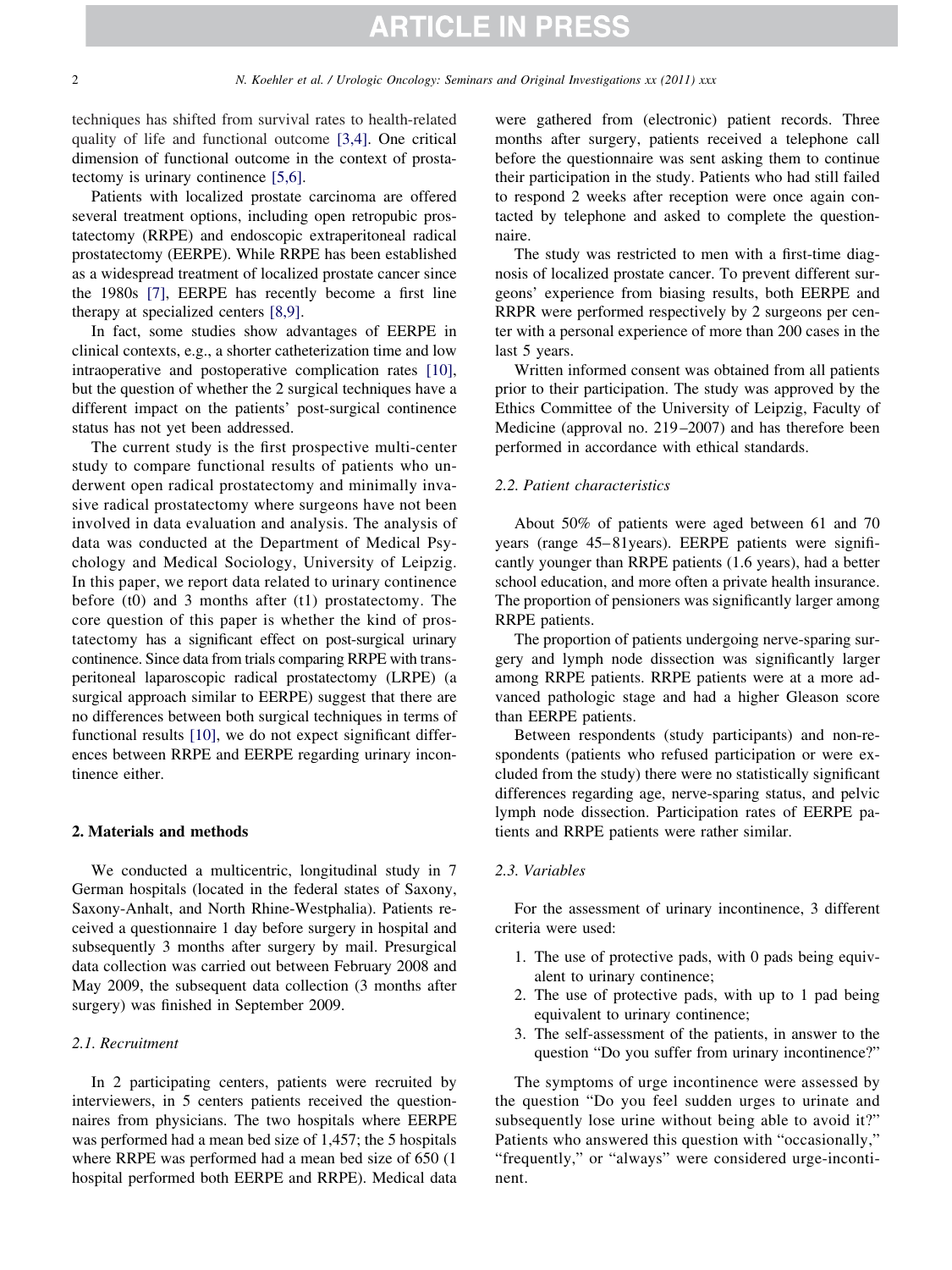techniques has shifted from survival rates to health-related quality of life and functional outcome [\[3,4\].](#page-5-2) One critical dimension of functional outcome in the context of prostatectomy is urinary continence [\[5,6\].](#page-5-3)

Patients with localized prostate carcinoma are offered several treatment options, including open retropubic prostatectomy (RRPE) and endoscopic extraperitoneal radical prostatectomy (EERPE). While RRPE has been established as a widespread treatment of localized prostate cancer since the 1980s [\[7\],](#page-5-4) EERPE has recently become a first line therapy at specialized centers [\[8,9\].](#page-5-5)

In fact, some studies show advantages of EERPE in clinical contexts, e.g., a shorter catheterization time and low intraoperative and postoperative complication rates [\[10\],](#page-5-6) but the question of whether the 2 surgical techniques have a different impact on the patients' post-surgical continence status has not yet been addressed.

The current study is the first prospective multi-center study to compare functional results of patients who underwent open radical prostatectomy and minimally invasive radical prostatectomy where surgeons have not been involved in data evaluation and analysis. The analysis of data was conducted at the Department of Medical Psychology and Medical Sociology, University of Leipzig. In this paper, we report data related to urinary continence before (t0) and 3 months after (t1) prostatectomy. The core question of this paper is whether the kind of prostatectomy has a significant effect on post-surgical urinary continence. Since data from trials comparing RRPE with transperitoneal laparoscopic radical prostatectomy (LRPE) (a surgical approach similar to EERPE) suggest that there are no differences between both surgical techniques in terms of functional results [\[10\],](#page-5-6) we do not expect significant differences between RRPE and EERPE regarding urinary incontinence either.

### **2. Materials and methods**

We conducted a multicentric, longitudinal study in 7 German hospitals (located in the federal states of Saxony, Saxony-Anhalt, and North Rhine-Westphalia). Patients received a questionnaire 1 day before surgery in hospital and subsequently 3 months after surgery by mail. Presurgical data collection was carried out between February 2008 and May 2009, the subsequent data collection (3 months after surgery) was finished in September 2009.

#### *2.1. Recruitment*

In 2 participating centers, patients were recruited by interviewers, in 5 centers patients received the questionnaires from physicians. The two hospitals where EERPE was performed had a mean bed size of 1,457; the 5 hospitals where RRPE was performed had a mean bed size of 650 (1 hospital performed both EERPE and RRPE). Medical data were gathered from (electronic) patient records. Three months after surgery, patients received a telephone call before the questionnaire was sent asking them to continue their participation in the study. Patients who had still failed to respond 2 weeks after reception were once again contacted by telephone and asked to complete the questionnaire.

The study was restricted to men with a first-time diagnosis of localized prostate cancer. To prevent different surgeons' experience from biasing results, both EERPE and RRPR were performed respectively by 2 surgeons per center with a personal experience of more than 200 cases in the last 5 years.

Written informed consent was obtained from all patients prior to their participation. The study was approved by the Ethics Committee of the University of Leipzig, Faculty of Medicine (approval no. 219–2007) and has therefore been performed in accordance with ethical standards.

# *2.2. Patient characteristics*

About 50% of patients were aged between 61 and 70 years (range 45–81years). EERPE patients were significantly younger than RRPE patients (1.6 years), had a better school education, and more often a private health insurance. The proportion of pensioners was significantly larger among RRPE patients.

The proportion of patients undergoing nerve-sparing surgery and lymph node dissection was significantly larger among RRPE patients. RRPE patients were at a more advanced pathologic stage and had a higher Gleason score than EERPE patients.

Between respondents (study participants) and non-respondents (patients who refused participation or were excluded from the study) there were no statistically significant differences regarding age, nerve-sparing status, and pelvic lymph node dissection. Participation rates of EERPE patients and RRPE patients were rather similar.

### *2.3. Variables*

For the assessment of urinary incontinence, 3 different criteria were used:

- 1. The use of protective pads, with 0 pads being equivalent to urinary continence;
- 2. The use of protective pads, with up to 1 pad being equivalent to urinary continence;
- 3. The self-assessment of the patients, in answer to the question "Do you suffer from urinary incontinence?"

The symptoms of urge incontinence were assessed by the question "Do you feel sudden urges to urinate and subsequently lose urine without being able to avoid it?" Patients who answered this question with "occasionally," "frequently," or "always" were considered urge-incontinent.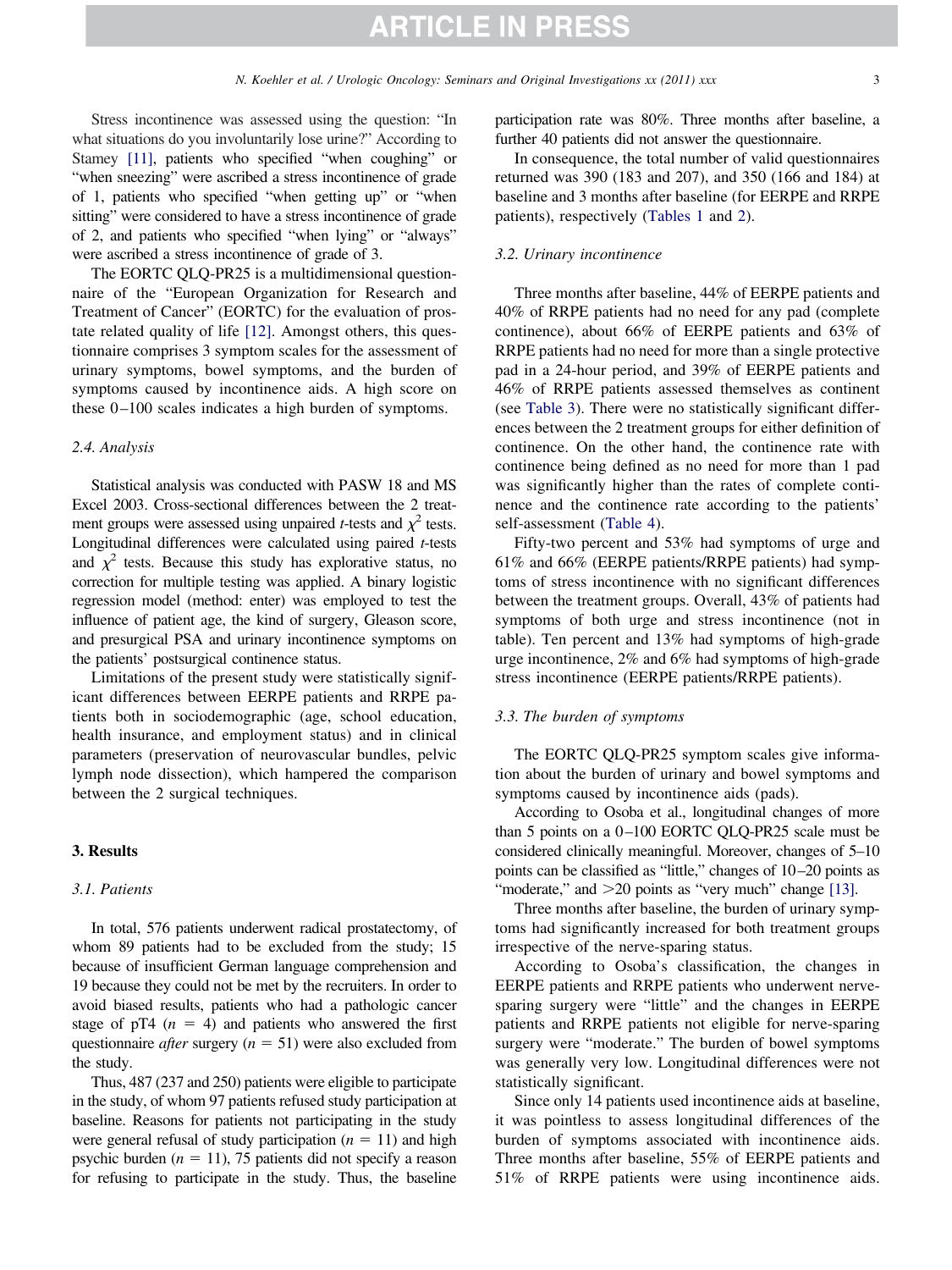Stress incontinence was assessed using the question: "In what situations do you involuntarily lose urine?" According to Stamey [\[11\],](#page-5-7) patients who specified "when coughing" or "when sneezing" were ascribed a stress incontinence of grade of 1, patients who specified "when getting up" or "when sitting" were considered to have a stress incontinence of grade of 2, and patients who specified "when lying" or "always" were ascribed a stress incontinence of grade of 3.

The EORTC QLQ-PR25 is a multidimensional questionnaire of the "European Organization for Research and Treatment of Cancer" (EORTC) for the evaluation of prostate related quality of life [\[12\].](#page-5-8) Amongst others, this questionnaire comprises 3 symptom scales for the assessment of urinary symptoms, bowel symptoms, and the burden of symptoms caused by incontinence aids. A high score on these 0–100 scales indicates a high burden of symptoms.

### *2.4. Analysis*

Statistical analysis was conducted with PASW 18 and MS Excel 2003. Cross-sectional differences between the 2 treatment groups were assessed using unpaired *t*-tests and  $\chi^2$  tests. Longitudinal differences were calculated using paired *t*-tests and  $\chi^2$  tests. Because this study has explorative status, no correction for multiple testing was applied. A binary logistic regression model (method: enter) was employed to test the influence of patient age, the kind of surgery, Gleason score, and presurgical PSA and urinary incontinence symptoms on the patients' postsurgical continence status.

Limitations of the present study were statistically significant differences between EERPE patients and RRPE patients both in sociodemographic (age, school education, health insurance, and employment status) and in clinical parameters (preservation of neurovascular bundles, pelvic lymph node dissection), which hampered the comparison between the 2 surgical techniques.

# **3. Results**

# *3.1. Patients*

In total, 576 patients underwent radical prostatectomy, of whom 89 patients had to be excluded from the study; 15 because of insufficient German language comprehension and 19 because they could not be met by the recruiters. In order to avoid biased results, patients who had a pathologic cancer stage of  $pT4$  ( $n = 4$ ) and patients who answered the first questionnaire *after* surgery  $(n = 51)$  were also excluded from the study.

Thus, 487 (237 and 250) patients were eligible to participate in the study, of whom 97 patients refused study participation at baseline. Reasons for patients not participating in the study were general refusal of study participation  $(n = 11)$  and high psychic burden  $(n = 11)$ , 75 patients did not specify a reason for refusing to participate in the study. Thus, the baseline participation rate was 80%. Three months after baseline, a further 40 patients did not answer the questionnaire.

In consequence, the total number of valid questionnaires returned was 390 (183 and 207), and 350 (166 and 184) at baseline and 3 months after baseline (for EERPE and RRPE patients), respectively [\(Tables 1](#page-3-0) and [2\)](#page-3-1).

# *3.2. Urinary incontinence*

Three months after baseline, 44% of EERPE patients and 40% of RRPE patients had no need for any pad (complete continence), about 66% of EERPE patients and 63% of RRPE patients had no need for more than a single protective pad in a 24-hour period, and 39% of EERPE patients and 46% of RRPE patients assessed themselves as continent (see [Table 3\)](#page-4-0). There were no statistically significant differences between the 2 treatment groups for either definition of continence. On the other hand, the continence rate with continence being defined as no need for more than 1 pad was significantly higher than the rates of complete continence and the continence rate according to the patients' self-assessment [\(Table 4\)](#page-4-1).

Fifty-two percent and 53% had symptoms of urge and 61% and 66% (EERPE patients/RRPE patients) had symptoms of stress incontinence with no significant differences between the treatment groups. Overall, 43% of patients had symptoms of both urge and stress incontinence (not in table). Ten percent and 13% had symptoms of high-grade urge incontinence, 2% and 6% had symptoms of high-grade stress incontinence (EERPE patients/RRPE patients).

#### *3.3. The burden of symptoms*

The EORTC QLQ-PR25 symptom scales give information about the burden of urinary and bowel symptoms and symptoms caused by incontinence aids (pads).

According to Osoba et al., longitudinal changes of more than 5 points on a 0–100 EORTC QLQ-PR25 scale must be considered clinically meaningful. Moreover, changes of 5–10 points can be classified as "little," changes of 10–20 points as "moderate," and  $>20$  points as "very much" change [\[13\].](#page-5-9)

Three months after baseline, the burden of urinary symptoms had significantly increased for both treatment groups irrespective of the nerve-sparing status.

According to Osoba's classification, the changes in EERPE patients and RRPE patients who underwent nervesparing surgery were "little" and the changes in EERPE patients and RRPE patients not eligible for nerve-sparing surgery were "moderate." The burden of bowel symptoms was generally very low. Longitudinal differences were not statistically significant.

Since only 14 patients used incontinence aids at baseline, it was pointless to assess longitudinal differences of the burden of symptoms associated with incontinence aids. Three months after baseline, 55% of EERPE patients and 51% of RRPE patients were using incontinence aids.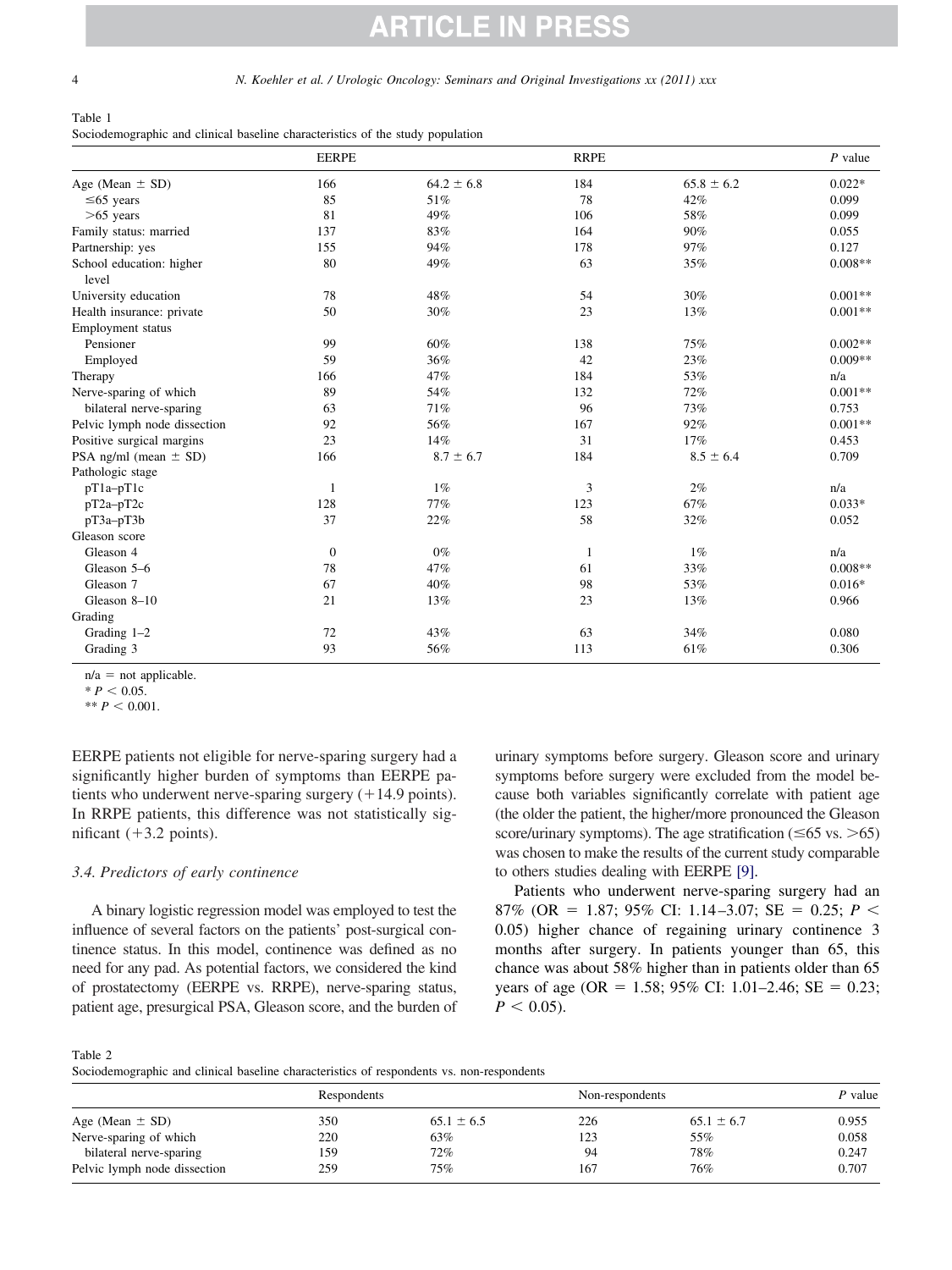4 *N. Koehler et al. / Urologic Oncology: Seminars and Original Investigations xx (2011) xxx*

<span id="page-3-0"></span>Table 1 Sociodemographic and clinical baseline characteristics of the study population

|                                   | <b>EERPE</b>     |                | <b>RRPE</b> |                | $P$ value |
|-----------------------------------|------------------|----------------|-------------|----------------|-----------|
| Age (Mean $\pm$ SD)               | 166              | $64.2 \pm 6.8$ | 184         | $65.8 \pm 6.2$ | $0.022*$  |
| $\leq 65$ years                   | 85               | 51%            | 78          | 42%            | 0.099     |
| $>65$ years                       | 81               | 49%            | 106         | 58%            | 0.099     |
| Family status: married            | 137              | 83%            | 164         | 90%            | 0.055     |
| Partnership: yes                  | 155              | 94%            | 178         | 97%            | 0.127     |
| School education: higher<br>level | 80               | 49%            | 63          | 35%            | $0.008**$ |
| University education              | 78               | 48%            | 54          | 30%            | $0.001**$ |
| Health insurance: private         | 50               | 30%            | 23          | 13%            | $0.001**$ |
| Employment status                 |                  |                |             |                |           |
| Pensioner                         | 99               | 60%            | 138         | 75%            | $0.002**$ |
| Employed                          | 59               | 36%            | 42          | 23%            | $0.009**$ |
| Therapy                           | 166              | 47%            | 184         | 53%            | n/a       |
| Nerve-sparing of which            | 89               | 54%            | 132         | 72%            | $0.001**$ |
| bilateral nerve-sparing           | 63               | 71%            | 96          | 73%            | 0.753     |
| Pelvic lymph node dissection      | 92               | 56%            | 167         | 92%            | $0.001**$ |
| Positive surgical margins         | 23               | 14%            | 31          | 17%            | 0.453     |
| PSA ng/ml (mean $\pm$ SD)         | 166              | $8.7 \pm 6.7$  | 184         | $8.5 \pm 6.4$  | 0.709     |
| Pathologic stage                  |                  |                |             |                |           |
| pT1a-pT1c                         | 1                | 1%             | 3           | 2%             | n/a       |
| pT2a-pT2c                         | 128              | 77%            | 123         | 67%            | $0.033*$  |
| pT3a-pT3b                         | 37               | 22%            | 58          | 32%            | 0.052     |
| Gleason score                     |                  |                |             |                |           |
| Gleason 4                         | $\boldsymbol{0}$ | $0\%$          | 1           | 1%             | n/a       |
| Gleason 5-6                       | 78               | 47%            | 61          | 33%            | $0.008**$ |
| Gleason 7                         | 67               | 40%            | 98          | 53%            | $0.016*$  |
| Gleason 8-10                      | 21               | 13%            | 23          | 13%            | 0.966     |
| Grading                           |                  |                |             |                |           |
| Grading 1-2                       | 72               | 43%            | 63          | 34%            | 0.080     |
| Grading 3                         | 93               | 56%            | 113         | 61%            | 0.306     |

 $n/a = not$  applicable.

 $* P < 0.05.$ 

 $*$  *P*  $< 0.001$ .

EERPE patients not eligible for nerve-sparing surgery had a significantly higher burden of symptoms than EERPE patients who underwent nerve-sparing surgery  $(+14.9 \text{ points})$ . In RRPE patients, this difference was not statistically significant  $(+3.2 \text{ points})$ .

# *3.4. Predictors of early continence*

A binary logistic regression model was employed to test the influence of several factors on the patients' post-surgical continence status. In this model, continence was defined as no need for any pad. As potential factors, we considered the kind of prostatectomy (EERPE vs. RRPE), nerve-sparing status, patient age, presurgical PSA, Gleason score, and the burden of urinary symptoms before surgery. Gleason score and urinary symptoms before surgery were excluded from the model because both variables significantly correlate with patient age (the older the patient, the higher/more pronounced the Gleason score/urinary symptoms). The age stratification ( $\leq 65$  vs.  $> 65$ ) was chosen to make the results of the current study comparable to others studies dealing with EERPE [\[9\].](#page-5-10)

Patients who underwent nerve-sparing surgery had an 87% (OR = 1.87; 95% CI: 1.14–3.07; SE = 0.25; *P* < 0.05) higher chance of regaining urinary continence 3 months after surgery. In patients younger than 65, this chance was about 58% higher than in patients older than 65 years of age (OR =  $1.58$ ; 95% CI: 1.01–2.46; SE = 0.23;  $P < 0.05$ ).

<span id="page-3-1"></span>Table 2

Sociodemographic and clinical baseline characteristics of respondents vs. non-respondents

|                              | Respondents |                | Non-respondents |                | P value |  |
|------------------------------|-------------|----------------|-----------------|----------------|---------|--|
| Age (Mean $\pm$ SD)          | 350         | $65.1 \pm 6.5$ | 226             | $65.1 \pm 6.7$ | 0.955   |  |
| Nerve-sparing of which       | 220         | 63%            | 123             | 55%            | 0.058   |  |
| bilateral nerve-sparing      | 159         | 72%            | 94              | 78%            | 0.247   |  |
| Pelvic lymph node dissection | 259         | 75%            | 167             | 76%            | 0.707   |  |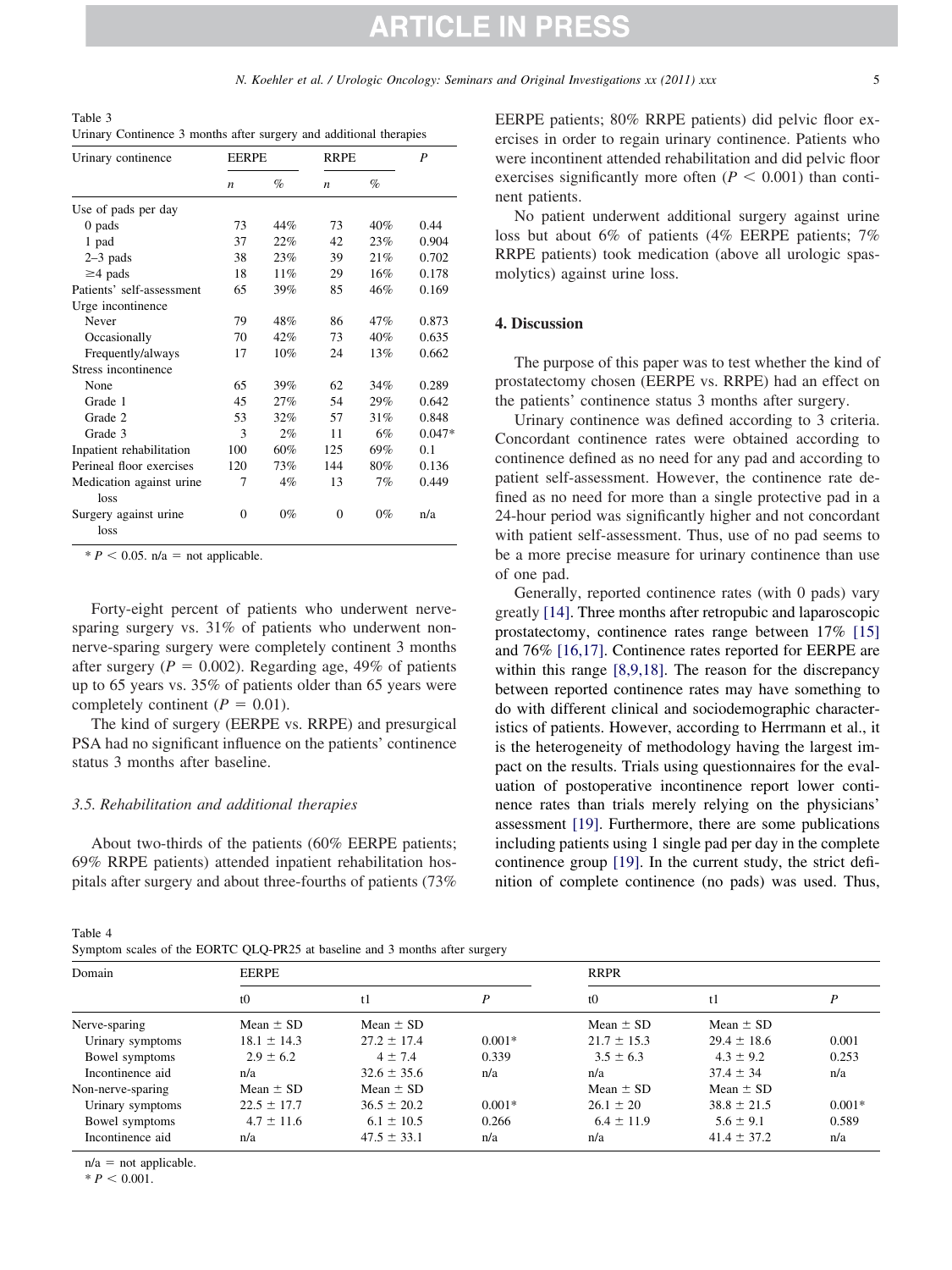<span id="page-4-0"></span>Table 3 Urinary Continence 3 months after surgery and additional therapies

| Urinary continence                | <b>EERPE</b>     |       | <b>RRPE</b>      |       | P        |  |
|-----------------------------------|------------------|-------|------------------|-------|----------|--|
|                                   | $\boldsymbol{n}$ | $\%$  | $\boldsymbol{n}$ | $\%$  |          |  |
| Use of pads per day               |                  |       |                  |       |          |  |
| $0$ pads                          | 73               | 44%   | 73               | 40%   | 0.44     |  |
| 1 pad                             | 37               | 22%   | 42               | 23%   | 0.904    |  |
| $2-3$ pads                        | 38               | 23%   | 39               | 21%   | 0.702    |  |
| $\geq$ 4 pads                     | 18               | 11%   | 29               | 16%   | 0.178    |  |
| Patients' self-assessment         | 65               | 39%   | 85               | 46%   | 0.169    |  |
| Urge incontinence                 |                  |       |                  |       |          |  |
| Never                             | 79               | 48%   | 86               | 47%   | 0.873    |  |
| Occasionally                      | 70               | 42%   | 73               | 40%   | 0.635    |  |
| Frequently/always                 | 17               | 10%   | 24               | 13%   | 0.662    |  |
| Stress incontinence               |                  |       |                  |       |          |  |
| None                              | 65               | 39%   | 62               | 34%   | 0.289    |  |
| Grade 1                           | 45               | 27%   | 54               | 29%   | 0.642    |  |
| Grade 2                           | 53               | 32%   | 57               | 31%   | 0.848    |  |
| Grade 3                           | 3                | 2%    | 11               | 6%    | $0.047*$ |  |
| Inpatient rehabilitation          | 100              | 60%   | 125              | 69%   | 0.1      |  |
| Perineal floor exercises          | 120              | 73%   | 144              | 80%   | 0.136    |  |
| Medication against urine.<br>loss | 7                | $4\%$ | 13               | 7%    | 0.449    |  |
| Surgery against urine<br>loss     | $\Omega$         | $0\%$ | $\theta$         | $0\%$ | n/a      |  |

 $* P < 0.05$ . n/a = not applicable.

Forty-eight percent of patients who underwent nervesparing surgery vs. 31% of patients who underwent nonnerve-sparing surgery were completely continent 3 months after surgery ( $P = 0.002$ ). Regarding age, 49% of patients up to 65 years vs. 35% of patients older than 65 years were completely continent  $(P = 0.01)$ .

The kind of surgery (EERPE vs. RRPE) and presurgical PSA had no significant influence on the patients' continence status 3 months after baseline.

# *3.5. Rehabilitation and additional therapies*

About two-thirds of the patients (60% EERPE patients; 69% RRPE patients) attended inpatient rehabilitation hospitals after surgery and about three-fourths of patients (73%

<span id="page-4-1"></span>Table 4

| Symptom scales of the EORTC QLQ-PR25 at baseline and 3 months after surgery |  |
|-----------------------------------------------------------------------------|--|
|-----------------------------------------------------------------------------|--|

EERPE patients; 80% RRPE patients) did pelvic floor exercises in order to regain urinary continence. Patients who were incontinent attended rehabilitation and did pelvic floor exercises significantly more often  $(P < 0.001)$  than continent patients.

No patient underwent additional surgery against urine loss but about 6% of patients (4% EERPE patients; 7% RRPE patients) took medication (above all urologic spasmolytics) against urine loss.

### **4. Discussion**

The purpose of this paper was to test whether the kind of prostatectomy chosen (EERPE vs. RRPE) had an effect on the patients' continence status 3 months after surgery.

Urinary continence was defined according to 3 criteria. Concordant continence rates were obtained according to continence defined as no need for any pad and according to patient self-assessment. However, the continence rate defined as no need for more than a single protective pad in a 24-hour period was significantly higher and not concordant with patient self-assessment. Thus, use of no pad seems to be a more precise measure for urinary continence than use of one pad.

Generally, reported continence rates (with 0 pads) vary greatly [\[14\].](#page-5-11) Three months after retropubic and laparoscopic prostatectomy, continence rates range between 17% [\[15\]](#page-5-12) and 76% [\[16,17\].](#page-5-13) Continence rates reported for EERPE are within this range [\[8,9,18\].](#page-5-5) The reason for the discrepancy between reported continence rates may have something to do with different clinical and sociodemographic characteristics of patients. However, according to Herrmann et al., it is the heterogeneity of methodology having the largest impact on the results. Trials using questionnaires for the evaluation of postoperative incontinence report lower continence rates than trials merely relying on the physicians' assessment [\[19\].](#page-5-14) Furthermore, there are some publications including patients using 1 single pad per day in the complete continence group [\[19\].](#page-5-14) In the current study, the strict definition of complete continence (no pads) was used. Thus,

| Domain            | <b>EERPE</b>    |                 |          |                 | <b>RRPR</b>     |          |  |
|-------------------|-----------------|-----------------|----------|-----------------|-----------------|----------|--|
|                   | t <sub>0</sub>  | t1              | P        | t <sub>0</sub>  | t1              | P        |  |
| Nerve-sparing     | Mean $\pm$ SD   | Mean $\pm$ SD   |          | Mean $\pm$ SD   | Mean $\pm$ SD   |          |  |
| Urinary symptoms  | $18.1 \pm 14.3$ | $27.2 \pm 17.4$ | $0.001*$ | $21.7 \pm 15.3$ | $29.4 \pm 18.6$ | 0.001    |  |
| Bowel symptoms    | $2.9 \pm 6.2$   | $4 \pm 7.4$     | 0.339    | $3.5 \pm 6.3$   | $4.3 \pm 9.2$   | 0.253    |  |
| Incontinence aid  | n/a             | $32.6 \pm 35.6$ | n/a      | n/a             | $37.4 \pm 34$   | n/a      |  |
| Non-nerve-sparing | Mean $\pm$ SD   | Mean $\pm$ SD   |          | Mean $\pm$ SD   | Mean $\pm$ SD   |          |  |
| Urinary symptoms  | $22.5 \pm 17.7$ | $36.5 \pm 20.2$ | $0.001*$ | $26.1 \pm 20$   | $38.8 \pm 21.5$ | $0.001*$ |  |
| Bowel symptoms    | $4.7 \pm 11.6$  | $6.1 \pm 10.5$  | 0.266    | $6.4 \pm 11.9$  | $5.6 \pm 9.1$   | 0.589    |  |
| Incontinence aid  | n/a             | $47.5 \pm 33.1$ | n/a      | n/a             | $41.4 \pm 37.2$ | n/a      |  |

 $n/a = not$  applicable.

 $* P < 0.001$ .